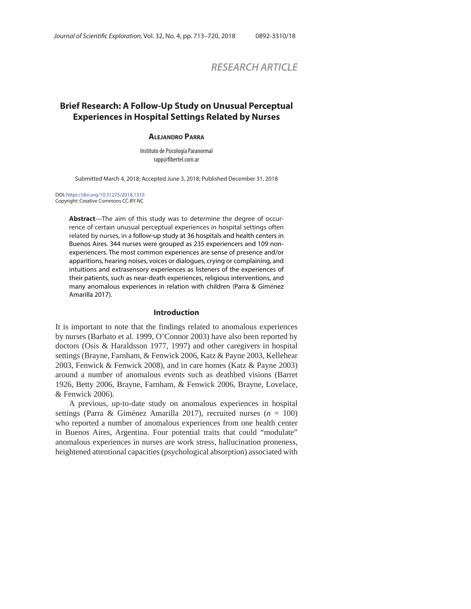# *RESEARCH ARTICLE*

# **Brief Research: A Follow-Up Study on Unusual Perceptual Experiences in Hospital Settings Related by Nurses**

### **ALEJANDRO PARRA**

Instituto de Psicología Paranormal rapp@fibertel.com.ar

Submitted March 4, 2018; Accepted June 3, 2018; Published December 31, 2018

#### DOI: https://doi.org/10.31275/2018.1310 Copyright: Creative Commons CC-BY-NC

**Abstract**—The aim of this study was to determine the degree of occurrence of certain unusual perceptual experiences in hospital settings often related by nurses, in a follow-up study at 36 hospitals and health centers in Buenos Aires. 344 nurses were grouped as 235 experiencers and 109 nonexperiencers. The most common experiences are sense of presence and/or apparitions, hearing noises, voices or dialogues, crying or complaining, and intuitions and extrasensory experiences as listeners of the experiences of their patients, such as near-death experiences, religious interventions, and many anomalous experiences in relation with children (Parra & Giménez Amarilla 2017).

### **Introduction**

It is important to note that the findings related to anomalous experiences by nurses (Barbato et al. 1999, O'Connor 2003) have also been reported by doctors (Osis & Haraldsson 1977, 1997) and other caregivers in hospital settings (Brayne, Farnham, & Fenwick 2006, Katz & Payne 2003, Kellehear 2003, Fenwick & Fenwick 2008), and in care homes (Katz & Payne 2003) around a number of anomalous events such as deathbed visions (Barret 1926, Betty 2006, Brayne, Farnham, & Fenwick 2006, Brayne, Lovelace, & Fenwick 2006).

A previous, up-to-date study on anomalous experiences in hospital settings (Parra & Giménez Amarilla 2017), recruited nurses (*n* = 100) who reported a number of anomalous experiences from one health center in Buenos Aires, Argentina. Four potential traits that could "modulate" anomalous experiences in nurses are work stress, hallucination proneness, heightened attentional capacities (psychological absorption) associated with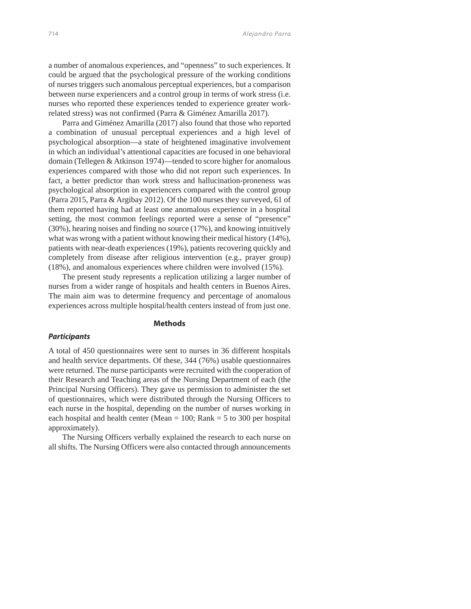a number of anomalous experiences, and "openness" to such experiences. It could be argued that the psychological pressure of the working conditions of nurses triggers such anomalous perceptual experiences, but a comparison between nurse experiencers and a control group in terms of work stress (i.e. nurses who reported these experiences tended to experience greater workrelated stress) was not confirmed (Parra & Giménez Amarilla 2017).

Parra and Giménez Amarilla (2017) also found that those who reported a combination of unusual perceptual experiences and a high level of psychological absorption—a state of heightened imaginative involvement in which an individual's attentional capacities are focused in one behavioral domain (Tellegen & Atkinson 1974)—tended to score higher for anomalous experiences compared with those who did not report such experiences. In fact, a better predictor than work stress and hallucination-proneness was psychological absorption in experiencers compared with the control group (Parra 2015, Parra & Argibay 2012). Of the 100 nurses they surveyed, 61 of them reported having had at least one anomalous experience in a hospital setting, the most common feelings reported were a sense of "presence" (30%), hearing noises and finding no source (17%), and knowing intuitively what was wrong with a patient without knowing their medical history (14%), patients with near-death experiences (19%), patients recovering quickly and completely from disease after religious intervention (e.g., prayer group) (18%), and anomalous experiences where children were involved (15%).

The present study represents a replication utilizing a larger number of nurses from a wider range of hospitals and health centers in Buenos Aires. The main aim was to determine frequency and percentage of anomalous experiences across multiple hospital/health centers instead of from just one.

# **Methods**

#### *Participants*

A total of 450 questionnaires were sent to nurses in 36 different hospitals and health service departments. Of these, 344 (76%) usable questionnaires were returned. The nurse participants were recruited with the cooperation of their Research and Teaching areas of the Nursing Department of each (the Principal Nursing Officers). They gave us permission to administer the set of questionnaires, which were distributed through the Nursing Officers to each nurse in the hospital, depending on the number of nurses working in each hospital and health center (Mean  $= 100$ ; Rank  $= 5$  to 300 per hospital approximately).

The Nursing Officers verbally explained the research to each nurse on all shifts. The Nursing Officers were also contacted through announcements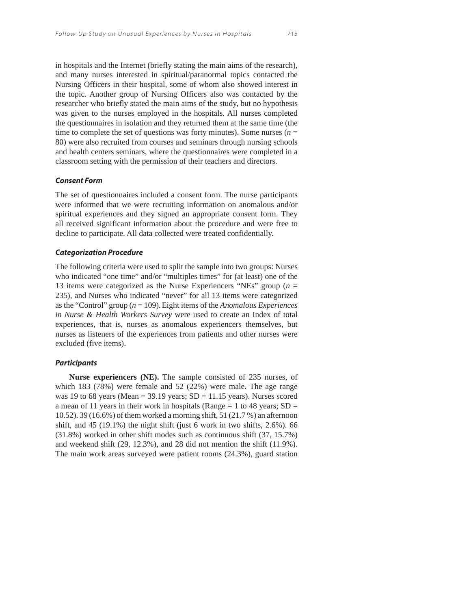in hospitals and the Internet (briefly stating the main aims of the research), and many nurses interested in spiritual/paranormal topics contacted the Nursing Officers in their hospital, some of whom also showed interest in the topic. Another group of Nursing Officers also was contacted by the researcher who briefly stated the main aims of the study, but no hypothesis was given to the nurses employed in the hospitals. All nurses completed the questionnaires in isolation and they returned them at the same time (the time to complete the set of questions was forty minutes). Some nurses  $(n =$ 80) were also recruited from courses and seminars through nursing schools and health centers seminars, where the questionnaires were completed in a classroom setting with the permission of their teachers and directors.

#### *Consent Form*

The set of questionnaires included a consent form. The nurse participants were informed that we were recruiting information on anomalous and/or spiritual experiences and they signed an appropriate consent form. They all received significant information about the procedure and were free to decline to participate. All data collected were treated confidentially.

#### *Categorization Procedure*

The following criteria were used to split the sample into two groups: Nurses who indicated "one time" and/or "multiples times" for (at least) one of the 13 items were categorized as the Nurse Experiencers "NEs" group (*n* = 235), and Nurses who indicated "never" for all 13 items were categorized as the "Control" group (*n* = 109).Eight items of the *Anomalous Experiences in Nurse & Health Workers Survey* were used to create an Index of total experiences, that is, nurses as anomalous experiencers themselves, but nurses as listeners of the experiences from patients and other nurses were excluded (five items).

# *Participants*

**Nurse experiencers (NE).** The sample consisted of 235 nurses, of which 183 (78%) were female and 52 (22%) were male. The age range was 19 to 68 years (Mean =  $39.19$  years; SD = 11.15 years). Nurses scored a mean of 11 years in their work in hospitals (Range  $= 1$  to 48 years; SD  $=$ 10.52). 39 (16.6%) of them worked a morning shift, 51 (21.7 %) an afternoon shift, and 45 (19.1%) the night shift (just 6 work in two shifts, 2.6%). 66 (31.8%) worked in other shift modes such as continuous shift (37, 15.7%) and weekend shift (29, 12.3%), and 28 did not mention the shift (11.9%). The main work areas surveyed were patient rooms (24.3%), guard station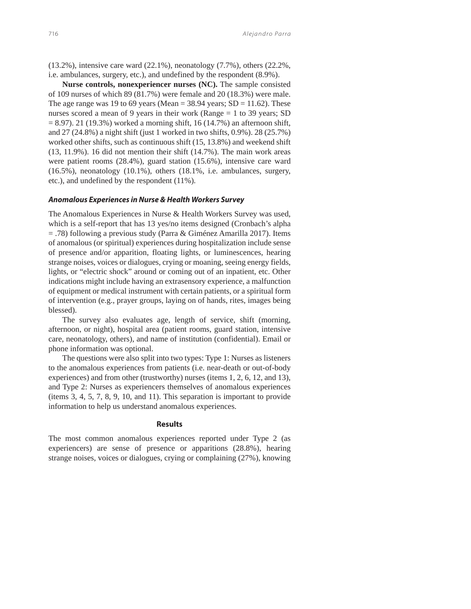(13.2%), intensive care ward (22.1%), neonatology (7.7%), others (22.2%, i.e. ambulances, surgery, etc.), and undefined by the respondent (8.9%).

**Nurse controls, nonexperiencer nurses (NC).** The sample consisted of 109 nurses of which 89 (81.7%) were female and 20 (18.3%) were male. The age range was 19 to 69 years (Mean =  $38.94$  years; SD = 11.62). These nurses scored a mean of 9 years in their work (Range = 1 to 39 years; SD  $= 8.97$ ). 21 (19.3%) worked a morning shift, 16 (14.7%) an afternoon shift, and 27 (24.8%) a night shift (just 1 worked in two shifts, 0.9%). 28 (25.7%) worked other shifts, such as continuous shift (15, 13.8%) and weekend shift (13, 11.9%). 16 did not mention their shift (14.7%). The main work areas were patient rooms (28.4%), guard station (15.6%), intensive care ward (16.5%), neonatology (10.1%), others (18.1%, i.e. ambulances, surgery, etc.), and undefined by the respondent (11%)*.*

### *Anomalous Experiences in Nurse & Health Workers Survey*

The Anomalous Experiences in Nurse & Health Workers Survey was used, which is a self-report that has 13 yes/no items designed (Cronbach's alpha = .78) following a previous study (Parra & Giménez Amarilla 2017). Items of anomalous (or spiritual) experiences during hospitalization include sense of presence and/or apparition, floating lights, or luminescences, hearing strange noises, voices or dialogues, crying or moaning, seeing energy fields, lights, or "electric shock" around or coming out of an inpatient, etc. Other indications might include having an extrasensory experience, a malfunction of equipment or medical instrument with certain patients, or a spiritual form of intervention (e.g., prayer groups, laying on of hands, rites, images being blessed).

The survey also evaluates age, length of service, shift (morning, afternoon, or night), hospital area (patient rooms, guard station, intensive care, neonatology, others), and name of institution (confidential). Email or phone information was optional.

The questions were also split into two types: Type 1: Nurses as listeners to the anomalous experiences from patients (i.e. near-death or out-of-body experiences) and from other (trustworthy) nurses (items 1, 2, 6, 12, and 13), and Type 2: Nurses as experiencers themselves of anomalous experiences (items 3, 4, 5, 7, 8, 9, 10, and 11). This separation is important to provide information to help us understand anomalous experiences.

#### **Results**

The most common anomalous experiences reported under Type 2 (as experiencers) are sense of presence or apparitions (28.8%), hearing strange noises, voices or dialogues, crying or complaining (27%), knowing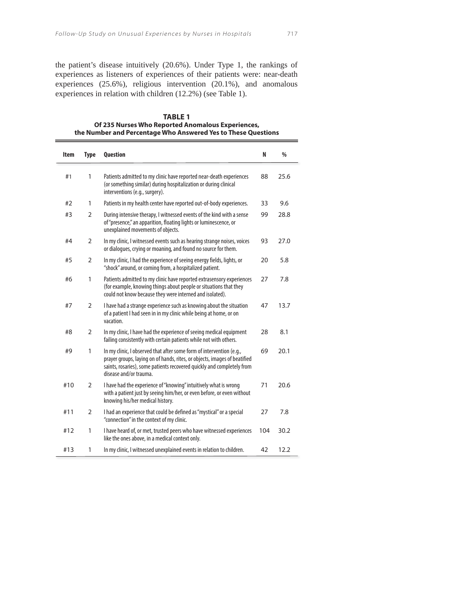the patient's disease intuitively (20.6%). Under Type 1, the rankings of experiences as listeners of experiences of their patients were: near-death experiences (25.6%), religious intervention (20.1%), and anomalous experiences in relation with children (12.2%) (see Table 1).

### **TABLE 1 Of 235 Nurses Who Reported Anomalous Experiences, the Number and Percentage Who Answered Yes to These Questions**

| <b>Item</b> | <b>Type</b>    | Question                                                                                                                                                                                                                                              | N   | $\frac{0}{0}$ |
|-------------|----------------|-------------------------------------------------------------------------------------------------------------------------------------------------------------------------------------------------------------------------------------------------------|-----|---------------|
| #1          | $\mathbf{1}$   | Patients admitted to my clinic have reported near-death experiences<br>(or something similar) during hospitalization or during clinical<br>interventions (e.g., surgery).                                                                             | 88  | 25.6          |
| #2          | $\mathbf{1}$   | Patients in my health center have reported out-of-body experiences.                                                                                                                                                                                   | 33  | 9.6           |
| #3          | $\overline{2}$ | During intensive therapy, I witnessed events of the kind with a sense<br>of "presence," an apparition, floating lights or luminescence, or<br>unexplained movements of objects.                                                                       | 99  | 28.8          |
| #4          | $\overline{2}$ | In my clinic, I witnessed events such as hearing strange noises, voices<br>or dialogues, crying or moaning, and found no source for them.                                                                                                             | 93  | 27.0          |
| #5          | 2              | In my clinic, I had the experience of seeing energy fields, lights, or<br>"shock" around, or coming from, a hospitalized patient.                                                                                                                     | 20  | 5.8           |
| #6          | 1              | Patients admitted to my clinic have reported extrasensory experiences<br>(for example, knowing things about people or situations that they<br>could not know because they were interned and isolated).                                                | 27  | 7.8           |
| #7          | $\overline{2}$ | I have had a strange experience such as knowing about the situation<br>of a patient I had seen in in my clinic while being at home, or on<br>vacation.                                                                                                | 47  | 13.7          |
| #8          | $\overline{2}$ | In my clinic, I have had the experience of seeing medical equipment<br>failing consistently with certain patients while not with others.                                                                                                              | 28  | 8.1           |
| #9          | $\mathbf{1}$   | In my clinic, I observed that after some form of intervention (e.g.,<br>prayer groups, laying on of hands, rites, or objects, images of beatified<br>saints, rosaries), some patients recovered quickly and completely from<br>disease and/or trauma. | 69  | 20.1          |
| #10         | 2              | I have had the experience of "knowing" intuitively what is wrong<br>with a patient just by seeing him/her, or even before, or even without<br>knowing his/her medical history.                                                                        | 71  | 20.6          |
| #11         | 2              | I had an experience that could be defined as "mystical" or a special<br>"connection" in the context of my clinic.                                                                                                                                     | 27  | 7.8           |
| #12         | 1              | I have heard of, or met, trusted peers who have witnessed experiences<br>like the ones above, in a medical context only.                                                                                                                              | 104 | 30.2          |
| #13         | 1              | In my clinic, I witnessed unexplained events in relation to children.                                                                                                                                                                                 | 42  | 12.2          |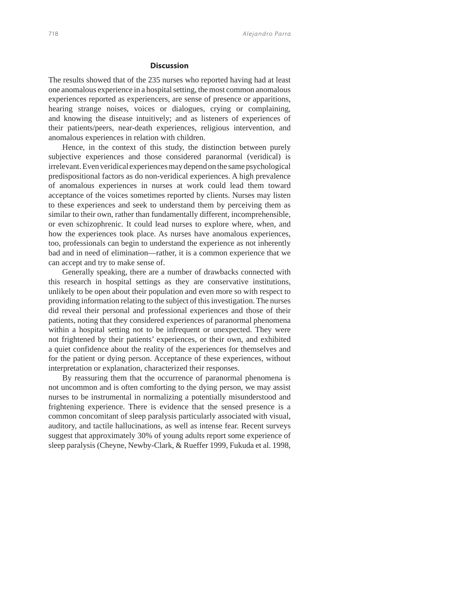# **Discussion**

The results showed that of the 235 nurses who reported having had at least one anomalous experience in a hospital setting, the most common anomalous experiences reported as experiencers, are sense of presence or apparitions, hearing strange noises, voices or dialogues, crying or complaining, and knowing the disease intuitively; and as listeners of experiences of their patients/peers, near-death experiences, religious intervention, and anomalous experiences in relation with children.

Hence, in the context of this study, the distinction between purely subjective experiences and those considered paranormal (veridical) is irrelevant. Even veridical experiences may depend on the same psychological predispositional factors as do non-veridical experiences. A high prevalence of anomalous experiences in nurses at work could lead them toward acceptance of the voices sometimes reported by clients. Nurses may listen to these experiences and seek to understand them by perceiving them as similar to their own, rather than fundamentally different, incomprehensible, or even schizophrenic. It could lead nurses to explore where, when, and how the experiences took place. As nurses have anomalous experiences, too, professionals can begin to understand the experience as not inherently bad and in need of elimination—rather, it is a common experience that we can accept and try to make sense of.

Generally speaking, there are a number of drawbacks connected with this research in hospital settings as they are conservative institutions, unlikely to be open about their population and even more so with respect to providing information relating to the subject of this investigation. The nurses did reveal their personal and professional experiences and those of their patients, noting that they considered experiences of paranormal phenomena within a hospital setting not to be infrequent or unexpected. They were not frightened by their patients' experiences, or their own, and exhibited a quiet confidence about the reality of the experiences for themselves and for the patient or dying person. Acceptance of these experiences, without interpretation or explanation, characterized their responses.

By reassuring them that the occurrence of paranormal phenomena is not uncommon and is often comforting to the dying person, we may assist nurses to be instrumental in normalizing a potentially misunderstood and frightening experience. There is evidence that the sensed presence is a common concomitant of sleep paralysis particularly associated with visual, auditory, and tactile hallucinations, as well as intense fear. Recent surveys suggest that approximately 30% of young adults report some experience of sleep paralysis (Cheyne, Newby-Clark, & Rueffer 1999, Fukuda et al. 1998,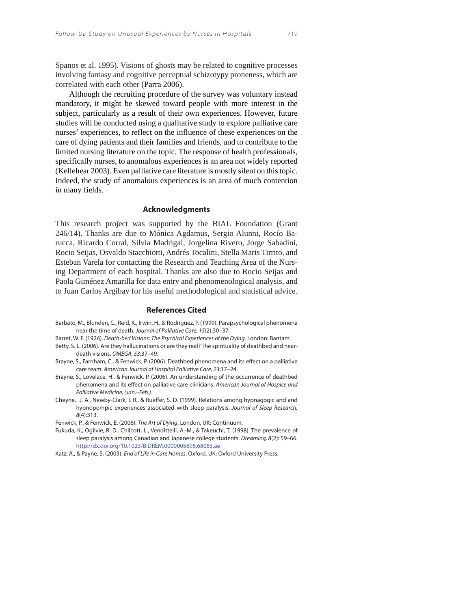Spanos et al. 1995). Visions of ghosts may be related to cognitive processes involving fantasy and cognitive perceptual schizotypy proneness, which are correlated with each other (Parra 2006).

Although the recruiting procedure of the survey was voluntary instead mandatory, it might be skewed toward people with more interest in the subject, particularly as a result of their own experiences. However, future studies will be conducted using a qualitative study to explore palliative care nurses' experiences, to reflect on the influence of these experiences on the care of dying patients and their families and friends, and to contribute to the limited nursing literature on the topic. The response of health professionals, specifically nurses, to anomalous experiences is an area not widely reported (Kellehear 2003). Even palliative care literature is mostly silent on this topic. Indeed, the study of anomalous experiences is an area of much contention in many fields.

#### **Acknowledgments**

This research project was supported by the BIAL Foundation (Grant 246/14). Thanks are due to Mónica Agdamus, Sergio Alunni, Rocío Barucca, Ricardo Corral, Silvia Madrigal, Jorgelina Rivero, Jorge Sabadini, Rocio Seijas, Osvaldo Stacchiotti, Andrés Tocalini, Stella Maris Tirrito, and Esteban Varela for contacting the Research and Teaching Area of the Nursing Department of each hospital. Thanks are also due to Rocio Seijas and Paola Giménez Amarilla for data entry and phenomenological analysis, and to Juan Carlos Argibay for his useful methodological and statistical advice.

#### **References Cited**

- Barbato, M., Blunden, C., Reid, K., Irwin, H., & Rodriguez, P. (1999). Parapsychological phenomena near the time of death. Journal of Palliative Care, 15(2):30–37.
- Barret, W. F. (1926). Death-bed Visions: The Psychical Experiences of the Dying. London: Bantam.
- Betty, S. L. (2006). Are they hallucinations or are they real? The spirituality of deathbed and neardeath visions. OMEGA, 53:37–49.
- Brayne, S., Farnham, C., & Fenwick, P. (2006). Deathbed phenomena and its effect on a palliative care team. American Journal of Hospital Palliative Care, 23:17–24.
- Brayne, S., Lovelace, H., & Fenwick, P. (2006). An understanding of the occurrence of deathbed phenomena and its effect on palliative care clinicians. American Journal of Hospice and Palliative Medicine, (Jan.–Feb.).
- Cheyne, J. A., Newby-Clark, I. R., & Rueffer, S. D. (1999). Relations among hypnagogic and and hypnopompic experiences associated with sleep paralysis. Journal of Sleep Research, 8(4):313.

Fenwick, P., & Fenwick, E. (2008). The Art of Dying. London, UK: Continuum.

- Fukuda, K., Ogilvie, R. D., Chilcott, L., Vendittelli, A.-M., & Takeuchi, T. (1998). The prevalence of sleep paralysis among Canadian and Japanese college students. Dreaming, 8(2): 59–66. http://dx.doi.org/10.1023/B:DREM.0000005896.68083.ae
- Katz, A., & Payne, S. (2003). End of Life in Care Homes. Oxford, UK: Oxford University Press.